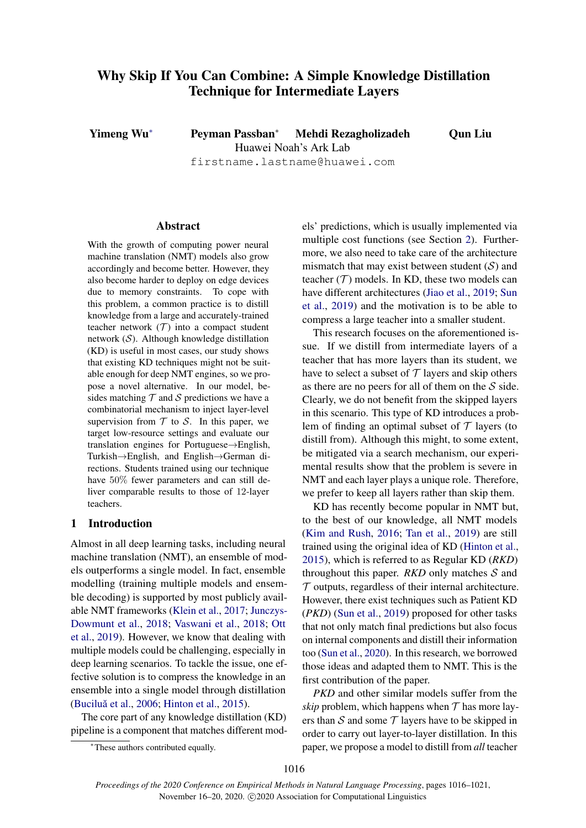# <span id="page-0-0"></span>Why Skip If You Can Combine: A Simple Knowledge Distillation Technique for Intermediate Layers

Yimeng Wu<sup>∗</sup> Peyman Passban<sup>∗</sup> Huawei Noah's Ark Lab Mehdi Rezagholizadeh Qun Liu

firstname.lastname@huawei.com

#### Abstract

With the growth of computing power neural machine translation (NMT) models also grow accordingly and become better. However, they also become harder to deploy on edge devices due to memory constraints. To cope with this problem, a common practice is to distill knowledge from a large and accurately-trained teacher network  $(T)$  into a compact student network  $(S)$ . Although knowledge distillation (KD) is useful in most cases, our study shows that existing KD techniques might not be suitable enough for deep NMT engines, so we propose a novel alternative. In our model, besides matching  $\mathcal T$  and  $\mathcal S$  predictions we have a combinatorial mechanism to inject layer-level supervision from  $T$  to  $S$ . In this paper, we target low-resource settings and evaluate our translation engines for Portuguese→English, Turkish→English, and English→German directions. Students trained using our technique have 50% fewer parameters and can still deliver comparable results to those of 12-layer teachers.

# 1 Introduction

Almost in all deep learning tasks, including neural machine translation (NMT), an ensemble of models outperforms a single model. In fact, ensemble modelling (training multiple models and ensemble decoding) is supported by most publicly available NMT frameworks [\(Klein et al.,](#page-5-0) [2017;](#page-5-0) [Junczys-](#page-5-1)[Dowmunt et al.,](#page-5-1) [2018;](#page-5-1) [Vaswani et al.,](#page-5-2) [2018;](#page-5-2) [Ott](#page-5-3) [et al.,](#page-5-3) [2019\)](#page-5-3). However, we know that dealing with multiple models could be challenging, especially in deep learning scenarios. To tackle the issue, one effective solution is to compress the knowledge in an ensemble into a single model through distillation (Buciluă et al., [2006;](#page-5-4) [Hinton et al.,](#page-5-5) [2015\)](#page-5-5).

The core part of any knowledge distillation (KD) pipeline is a component that matches different models' predictions, which is usually implemented via multiple cost functions (see Section [2\)](#page-1-0). Furthermore, we also need to take care of the architecture mismatch that may exist between student  $(S)$  and teacher  $(T)$  models. In KD, these two models can have different architectures [\(Jiao et al.,](#page-5-6) [2019;](#page-5-6) [Sun](#page-5-7) [et al.,](#page-5-7) [2019\)](#page-5-7) and the motivation is to be able to compress a large teacher into a smaller student.

This research focuses on the aforementioned issue. If we distill from intermediate layers of a teacher that has more layers than its student, we have to select a subset of  $T$  layers and skip others as there are no peers for all of them on the  $S$  side. Clearly, we do not benefit from the skipped layers in this scenario. This type of KD introduces a problem of finding an optimal subset of  $\mathcal T$  layers (to distill from). Although this might, to some extent, be mitigated via a search mechanism, our experimental results show that the problem is severe in NMT and each layer plays a unique role. Therefore, we prefer to keep all layers rather than skip them.

KD has recently become popular in NMT but, to the best of our knowledge, all NMT models [\(Kim and Rush,](#page-5-8) [2016;](#page-5-8) [Tan et al.,](#page-5-9) [2019\)](#page-5-9) are still trained using the original idea of KD [\(Hinton et al.,](#page-5-5) [2015\)](#page-5-5), which is referred to as Regular KD (*RKD*) throughout this paper.  $RKD$  only matches  $S$  and  $T$  outputs, regardless of their internal architecture. However, there exist techniques such as Patient KD (*PKD*) [\(Sun et al.,](#page-5-7) [2019\)](#page-5-7) proposed for other tasks that not only match final predictions but also focus on internal components and distill their information too [\(Sun et al.,](#page-5-10) [2020\)](#page-5-10). In this research, we borrowed those ideas and adapted them to NMT. This is the first contribution of the paper.

*PKD* and other similar models suffer from the *skip* problem, which happens when  $T$  has more layers than S and some  $\mathcal T$  layers have to be skipped in order to carry out layer-to-layer distillation. In this paper, we propose a model to distill from *all* teacher

<sup>∗</sup>These authors contributed equally.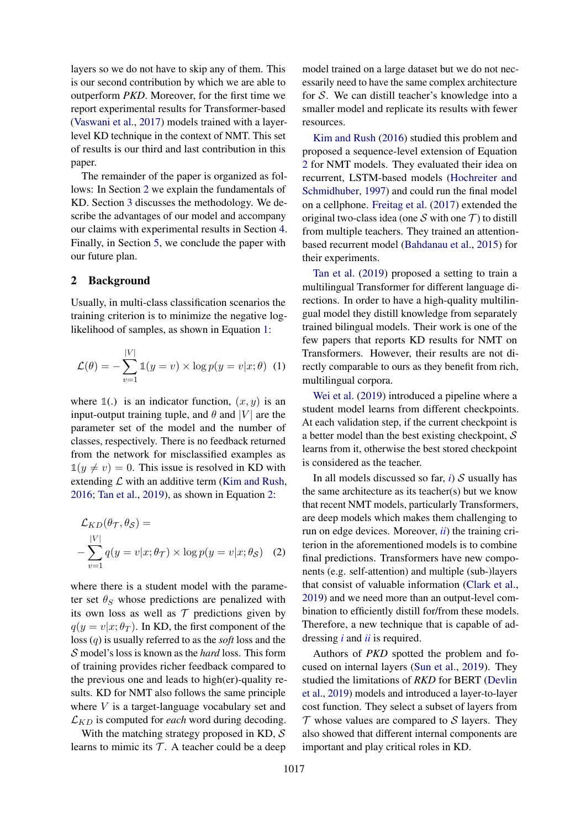layers so we do not have to skip any of them. This is our second contribution by which we are able to outperform *PKD*. Moreover, for the first time we report experimental results for Transformer-based [\(Vaswani et al.,](#page-5-11) [2017\)](#page-5-11) models trained with a layerlevel KD technique in the context of NMT. This set of results is our third and last contribution in this paper.

The remainder of the paper is organized as follows: In Section [2](#page-1-0) we explain the fundamentals of KD. Section [3](#page-2-0) discusses the methodology. We describe the advantages of our model and accompany our claims with experimental results in Section [4.](#page-2-1) Finally, in Section [5,](#page-4-0) we conclude the paper with our future plan.

## <span id="page-1-0"></span>2 Background

Usually, in multi-class classification scenarios the training criterion is to minimize the negative loglikelihood of samples, as shown in Equation [1:](#page-1-1)

$$
\mathcal{L}(\theta) = -\sum_{v=1}^{|V|} \mathbb{1}(y=v) \times \log p(y=v|x;\theta)
$$
 (1)

where  $\mathbb{1}(.)$  is an indicator function,  $(x, y)$  is an input-output training tuple, and  $\theta$  and |V| are the parameter set of the model and the number of classes, respectively. There is no feedback returned from the network for misclassified examples as  $\mathbb{1}(y \neq v) = 0$ . This issue is resolved in KD with extending  $\mathcal L$  with an additive term [\(Kim and Rush,](#page-5-8) [2016;](#page-5-8) [Tan et al.,](#page-5-9) [2019\)](#page-5-9), as shown in Equation [2:](#page-1-2)

$$
\mathcal{L}_{KD}(\theta_{\mathcal{T}}, \theta_{\mathcal{S}}) =
$$
  
-
$$
\sum_{v=1}^{|V|} q(y = v | x; \theta_{\mathcal{T}}) \times \log p(y = v | x; \theta_{\mathcal{S}})
$$
 (2)

where there is a student model with the parameter set  $\theta_S$  whose predictions are penalized with its own loss as well as  $T$  predictions given by  $q(y = v|x; \theta_T)$ . In KD, the first component of the loss (q) is usually referred to as the *soft* loss and the S model's loss is known as the *hard* loss. This form of training provides richer feedback compared to the previous one and leads to high(er)-quality results. KD for NMT also follows the same principle where  $V$  is a target-language vocabulary set and  $\mathcal{L}_{KD}$  is computed for *each* word during decoding.

With the matching strategy proposed in KD,  $S$ learns to mimic its  $T$ . A teacher could be a deep

model trained on a large dataset but we do not necessarily need to have the same complex architecture for S. We can distill teacher's knowledge into a smaller model and replicate its results with fewer resources.

[Kim and Rush](#page-5-8) [\(2016\)](#page-5-8) studied this problem and proposed a sequence-level extension of Equation [2](#page-1-2) for NMT models. They evaluated their idea on recurrent, LSTM-based models [\(Hochreiter and](#page-5-12) [Schmidhuber,](#page-5-12) [1997\)](#page-5-12) and could run the final model on a cellphone. [Freitag et al.](#page-5-13) [\(2017\)](#page-5-13) extended the original two-class idea (one S with one  $\mathcal T$ ) to distill from multiple teachers. They trained an attentionbased recurrent model [\(Bahdanau et al.,](#page-5-14) [2015\)](#page-5-14) for their experiments.

<span id="page-1-1"></span>[Tan et al.](#page-5-9) [\(2019\)](#page-5-9) proposed a setting to train a multilingual Transformer for different language directions. In order to have a high-quality multilingual model they distill knowledge from separately trained bilingual models. Their work is one of the few papers that reports KD results for NMT on Transformers. However, their results are not directly comparable to ours as they benefit from rich, multilingual corpora.

[Wei et al.](#page-5-15) [\(2019\)](#page-5-15) introduced a pipeline where a student model learns from different checkpoints. At each validation step, if the current checkpoint is a better model than the best existing checkpoint,  $S$ learns from it, otherwise the best stored checkpoint is considered as the teacher.

<span id="page-1-2"></span>In all models discussed so far,  $i$ ) S usually has the same architecture as its teacher(s) but we know that recent NMT models, particularly Transformers, are deep models which makes them challenging to run on edge devices. Moreover, *ii*) the training criterion in the aforementioned models is to combine final predictions. Transformers have new components (e.g. self-attention) and multiple (sub-)layers that consist of valuable information [\(Clark et al.,](#page-5-16) [2019\)](#page-5-16) and we need more than an output-level combination to efficiently distill for/from these models. Therefore, a new technique that is capable of addressing *i* and *ii* is required.

Authors of *PKD* spotted the problem and focused on internal layers [\(Sun et al.,](#page-5-7) [2019\)](#page-5-7). They studied the limitations of *RKD* for BERT [\(Devlin](#page-5-17) [et al.,](#page-5-17) [2019\)](#page-5-17) models and introduced a layer-to-layer cost function. They select a subset of layers from  $T$  whose values are compared to  $S$  layers. They also showed that different internal components are important and play critical roles in KD.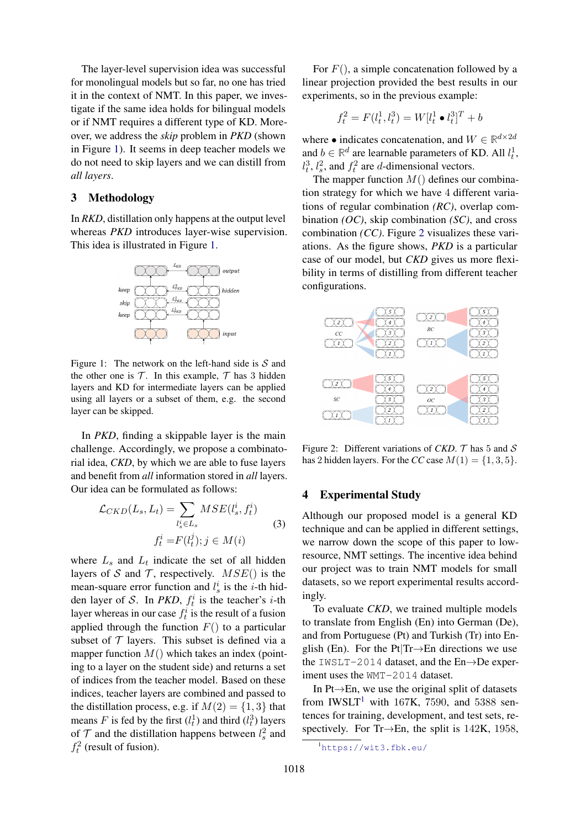The layer-level supervision idea was successful for monolingual models but so far, no one has tried it in the context of NMT. In this paper, we investigate if the same idea holds for bilingual models or if NMT requires a different type of KD. Moreover, we address the *skip* problem in *PKD* (shown in Figure [1\)](#page-2-2). It seems in deep teacher models we do not need to skip layers and we can distill from *all layers*.

#### <span id="page-2-0"></span>3 Methodology

In *RKD*, distillation only happens at the output level whereas *PKD* introduces layer-wise supervision. This idea is illustrated in Figure [1.](#page-2-2)

<span id="page-2-2"></span>

Figure 1: The network on the left-hand side is  $S$  and the other one is  $\mathcal T$ . In this example,  $\mathcal T$  has 3 hidden layers and KD for intermediate layers can be applied using all layers or a subset of them, e.g. the second layer can be skipped.

In *PKD*, finding a skippable layer is the main challenge. Accordingly, we propose a combinatorial idea, *CKD*, by which we are able to fuse layers and benefit from *all* information stored in *all* layers. Our idea can be formulated as follows:

$$
\mathcal{L}_{CKD}(L_s, L_t) = \sum_{l_s^i \in L_s} MSE(l_s^i, f_t^i)
$$
  

$$
f_t^i = F(l_t^j); j \in M(i)
$$
 (3)

where  $L_s$  and  $L_t$  indicate the set of all hidden layers of S and T, respectively.  $MSE()$  is the mean-square error function and  $l_s^i$  is the *i*-th hidden layer of S. In *PKD*,  $f_t^i$  is the teacher's *i*-th layer whereas in our case  $f_t^i$  is the result of a fusion applied through the function  $F()$  to a particular subset of  $T$  layers. This subset is defined via a mapper function  $M()$  which takes an index (pointing to a layer on the student side) and returns a set of indices from the teacher model. Based on these indices, teacher layers are combined and passed to the distillation process, e.g. if  $M(2) = \{1, 3\}$  that means F is fed by the first  $(l_t^1)$  and third  $(l_t^3)$  layers of  $\mathcal T$  and the distillation happens between  $l_s^2$  and  $f_t^2$  (result of fusion).

For  $F()$ , a simple concatenation followed by a linear projection provided the best results in our experiments, so in the previous example:

$$
f_t^2 = F(l_t^1, l_t^3) = W[l_t^1 \bullet l_t^3]^T + b
$$

where • indicates concatenation, and  $W \in \mathbb{R}^{d \times 2d}$ and  $b \in \mathbb{R}^d$  are learnable parameters of KD. All  $l_t^1$ ,  $l_t^3$ ,  $l_s^2$ , and  $f_t^2$  are d-dimensional vectors.

The mapper function  $M()$  defines our combination strategy for which we have 4 different variations of regular combination *(RC)*, overlap combination *(OC)*, skip combination *(SC)*, and cross combination *(CC)*. Figure [2](#page-2-3) visualizes these variations. As the figure shows, *PKD* is a particular case of our model, but *CKD* gives us more flexibility in terms of distilling from different teacher configurations.

<span id="page-2-3"></span>

Figure 2: Different variations of *CKD*.  $\mathcal{T}$  has 5 and  $\mathcal{S}$ has 2 hidden layers. For the *CC* case  $M(1) = \{1, 3, 5\}.$ 

## <span id="page-2-1"></span>4 Experimental Study

Although our proposed model is a general KD technique and can be applied in different settings, we narrow down the scope of this paper to lowresource, NMT settings. The incentive idea behind our project was to train NMT models for small datasets, so we report experimental results accordingly.

To evaluate *CKD*, we trained multiple models to translate from English (En) into German (De), and from Portuguese (Pt) and Turkish (Tr) into English (En). For the Pt $|Tr \rightarrow En$  directions we use the IWSLT-2014 dataset, and the En→De experiment uses the WMT-2014 dataset.

In Pt→En, we use the original split of datasets from IWSLT<sup>[1](#page-0-0)</sup> with 167K, 7590, and 5388 sentences for training, development, and test sets, respectively. For Tr $\rightarrow$ En, the split is 142K, 1958,

<sup>1</sup><https://wit3.fbk.eu/>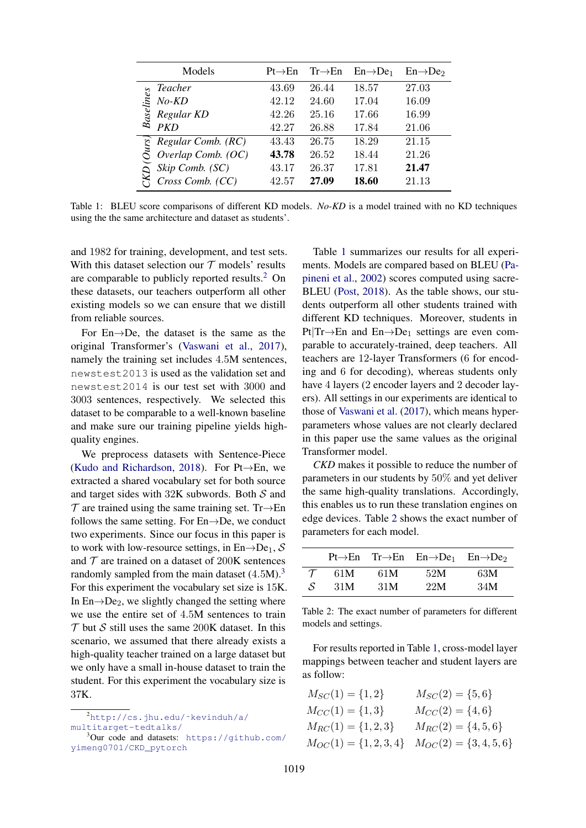<span id="page-3-0"></span>

|                  | Models             | $Pt\rightarrow En$ | $Tr \rightarrow En$ | $En \rightarrow De_1$ | $En \rightarrow De2$ |
|------------------|--------------------|--------------------|---------------------|-----------------------|----------------------|
| <b>Baselines</b> | Teacher            | 43.69              | 26.44               | 18.57                 | 27.03                |
|                  | $No-KD$            | 42.12              | 24.60               | 17.04                 | 16.09                |
|                  | Regular KD         | 42.26              | 25.16               | 17.66                 | 16.99                |
|                  | <b>PKD</b>         | 42.27              | 26.88               | 17.84                 | 21.06                |
| urs)             | Regular Comb. (RC) | 43.43              | 26.75               | 18.29                 | 21.15                |
|                  | Overlap Comb. (OC) | 43.78              | 26.52               | 18.44                 | 21.26                |
|                  | Skip Comb. (SC)    | 43.17              | 26.37               | 17.81                 | 21.47                |
|                  | Cross Comb. (CC)   | 42.57              | 27.09               | 18.60                 | 21.13                |

Table 1: BLEU score comparisons of different KD models. *No-KD* is a model trained with no KD techniques using the the same architecture and dataset as students'.

and 1982 for training, development, and test sets. With this dataset selection our  $T$  models' results are comparable to publicly reported results.[2](#page-0-0) On these datasets, our teachers outperform all other existing models so we can ensure that we distill from reliable sources.

For En→De, the dataset is the same as the original Transformer's [\(Vaswani et al.,](#page-5-11) [2017\)](#page-5-11), namely the training set includes 4.5M sentences, newstest2013 is used as the validation set and newstest2014 is our test set with 3000 and 3003 sentences, respectively. We selected this dataset to be comparable to a well-known baseline and make sure our training pipeline yields highquality engines.

We preprocess datasets with Sentence-Piece [\(Kudo and Richardson,](#page-5-18) [2018\)](#page-5-18). For Pt→En, we extracted a shared vocabulary set for both source and target sides with  $32K$  subwords. Both  $S$  and  $\tau$  are trained using the same training set. Tr $\rightarrow$ En follows the same setting. For  $En \rightarrow De$ , we conduct two experiments. Since our focus in this paper is to work with low-resource settings, in  $En\rightarrow De_1$ , S and  $T$  are trained on a dataset of 200K sentences randomly sampled from the main dataset  $(4.5M).<sup>3</sup>$  $(4.5M).<sup>3</sup>$  $(4.5M).<sup>3</sup>$ For this experiment the vocabulary set size is 15K. In  $En \rightarrow De_2$ , we slightly changed the setting where we use the entire set of 4.5M sentences to train  $T$  but S still uses the same 200K dataset. In this scenario, we assumed that there already exists a high-quality teacher trained on a large dataset but we only have a small in-house dataset to train the student. For this experiment the vocabulary size is 37K.

Table [1](#page-3-0) summarizes our results for all experiments. Models are compared based on BLEU [\(Pa](#page-5-19)[pineni et al.,](#page-5-19) [2002\)](#page-5-19) scores computed using sacre-BLEU [\(Post,](#page-5-20) [2018\)](#page-5-20). As the table shows, our students outperform all other students trained with different KD techniques. Moreover, students in Pt|Tr→En and En→De<sub>1</sub> settings are even comparable to accurately-trained, deep teachers. All teachers are 12-layer Transformers (6 for encoding and 6 for decoding), whereas students only have 4 layers (2 encoder layers and 2 decoder layers). All settings in our experiments are identical to those of [Vaswani et al.](#page-5-11) [\(2017\)](#page-5-11), which means hyperparameters whose values are not clearly declared in this paper use the same values as the original Transformer model.

*CKD* makes it possible to reduce the number of parameters in our students by 50% and yet deliver the same high-quality translations. Accordingly, this enables us to run these translation engines on edge devices. Table [2](#page-3-1) shows the exact number of parameters for each model.

<span id="page-3-1"></span>

|        |      |     | $Pt \rightarrow En$ $Tr \rightarrow En$ $En \rightarrow De_1$ $En \rightarrow De_2$ |     |
|--------|------|-----|-------------------------------------------------------------------------------------|-----|
| $\tau$ | -61M | 61M | 52M                                                                                 | 63M |
| -S     | -31M | 31M | 22M                                                                                 | 34M |

Table 2: The exact number of parameters for different models and settings.

For results reported in Table [1,](#page-3-0) cross-model layer mappings between teacher and student layers are as follow:

$$
M_{SC}(1) = \{1, 2\}
$$
  
\n
$$
M_{CC}(1) = \{1, 3\}
$$
  
\n
$$
M_{CC}(2) = \{4, 6\}
$$
  
\n
$$
M_{RC}(1) = \{1, 2, 3\}
$$
  
\n
$$
M_{RC}(2) = \{4, 5, 6\}
$$
  
\n
$$
M_{OC}(1) = \{1, 2, 3, 4\}
$$
  
\n
$$
M_{OC}(2) = \{3, 4, 5, 6\}
$$

<sup>2</sup>[http://cs.jhu.edu/˜kevinduh/a/](http://cs.jhu.edu/~kevinduh/a/multitarget-tedtalks/) [multitarget-tedtalks/](http://cs.jhu.edu/~kevinduh/a/multitarget-tedtalks/)

<sup>3</sup>Our code and datasets: [https://github.com/](https://github.com/yimeng0701/CKD_pytorch) [yimeng0701/CKD\\_pytorch](https://github.com/yimeng0701/CKD_pytorch)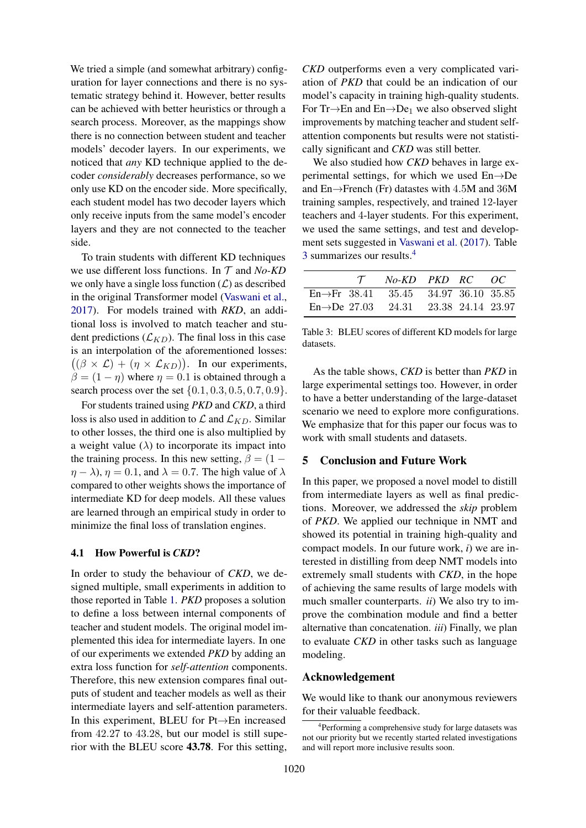We tried a simple (and somewhat arbitrary) configuration for layer connections and there is no systematic strategy behind it. However, better results can be achieved with better heuristics or through a search process. Moreover, as the mappings show there is no connection between student and teacher models' decoder layers. In our experiments, we noticed that *any* KD technique applied to the decoder *considerably* decreases performance, so we only use KD on the encoder side. More specifically, each student model has two decoder layers which only receive inputs from the same model's encoder layers and they are not connected to the teacher side.

To train students with different KD techniques we use different loss functions. In T and *No-KD* we only have a single loss function  $(L)$  as described in the original Transformer model [\(Vaswani et al.,](#page-5-11) [2017\)](#page-5-11). For models trained with *RKD*, an additional loss is involved to match teacher and student predictions  $(\mathcal{L}_{KD})$ . The final loss in this case is an interpolation of the aforementioned losses:  $((\beta \times \mathcal{L}) + (\eta \times \mathcal{L}_{KD}))$ . In our experiments,  $\beta = (1 - \eta)$  where  $\eta = 0.1$  is obtained through a search process over the set  $\{0.1, 0.3, 0.5, 0.7, 0.9\}.$ 

For students trained using *PKD* and *CKD*, a third loss is also used in addition to  $\mathcal{L}$  and  $\mathcal{L}_{KD}$ . Similar to other losses, the third one is also multiplied by a weight value  $(\lambda)$  to incorporate its impact into the training process. In this new setting,  $\beta = (1 \eta - \lambda$ ),  $\eta = 0.1$ , and  $\lambda = 0.7$ . The high value of  $\lambda$ compared to other weights shows the importance of intermediate KD for deep models. All these values are learned through an empirical study in order to minimize the final loss of translation engines.

#### 4.1 How Powerful is *CKD*?

In order to study the behaviour of *CKD*, we designed multiple, small experiments in addition to those reported in Table [1.](#page-3-0) *PKD* proposes a solution to define a loss between internal components of teacher and student models. The original model implemented this idea for intermediate layers. In one of our experiments we extended *PKD* by adding an extra loss function for *self-attention* components. Therefore, this new extension compares final outputs of student and teacher models as well as their intermediate layers and self-attention parameters. In this experiment, BLEU for Pt→En increased from 42.27 to 43.28, but our model is still superior with the BLEU score 43.78. For this setting,

*CKD* outperforms even a very complicated variation of *PKD* that could be an indication of our model's capacity in training high-quality students. For Tr $\rightarrow$ En and En $\rightarrow$ De<sub>1</sub> we also observed slight improvements by matching teacher and student selfattention components but results were not statistically significant and *CKD* was still better.

We also studied how *CKD* behaves in large experimental settings, for which we used En→De and En→French (Fr) datastes with 4.5M and 36M training samples, respectively, and trained 12-layer teachers and 4-layer students. For this experiment, we used the same settings, and test and development sets suggested in [Vaswani et al.](#page-5-11) [\(2017\)](#page-5-11). Table [3](#page-4-1) summarizes our results.[4](#page-0-0)

<span id="page-4-1"></span>

|  | T No-KD PKD RC OC                                 |  |  |
|--|---------------------------------------------------|--|--|
|  | $En \rightarrow Fr$ 38.41 35.45 34.97 36.10 35.85 |  |  |
|  | En $\rightarrow$ De 27.03 24.31 23.38 24.14 23.97 |  |  |

Table 3: BLEU scores of different KD models for large datasets.

As the table shows, *CKD* is better than *PKD* in large experimental settings too. However, in order to have a better understanding of the large-dataset scenario we need to explore more configurations. We emphasize that for this paper our focus was to work with small students and datasets.

## <span id="page-4-0"></span>5 Conclusion and Future Work

In this paper, we proposed a novel model to distill from intermediate layers as well as final predictions. Moreover, we addressed the *skip* problem of *PKD*. We applied our technique in NMT and showed its potential in training high-quality and compact models. In our future work, *i*) we are interested in distilling from deep NMT models into extremely small students with *CKD*, in the hope of achieving the same results of large models with much smaller counterparts. *ii*) We also try to improve the combination module and find a better alternative than concatenation. *iii*) Finally, we plan to evaluate *CKD* in other tasks such as language modeling.

# Acknowledgement

We would like to thank our anonymous reviewers for their valuable feedback.

<sup>4</sup> Performing a comprehensive study for large datasets was not our priority but we recently started related investigations and will report more inclusive results soon.